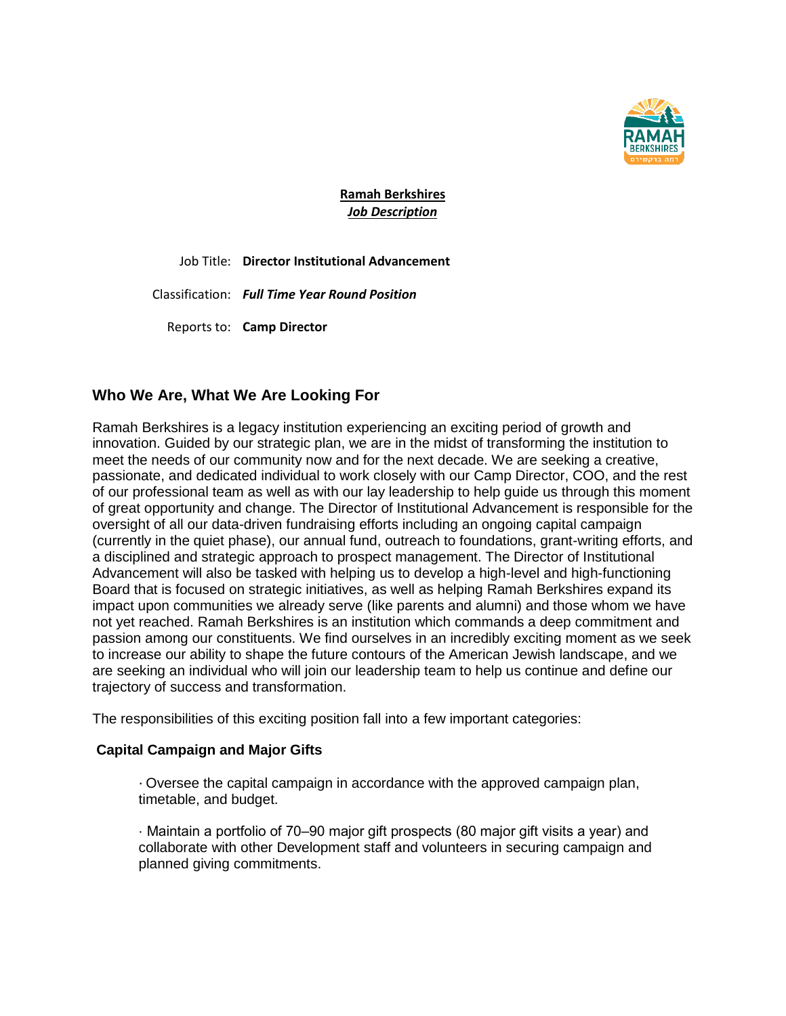

**Ramah Berkshires** *Job Description*

Job Title: **Director Institutional Advancement**

Classification: *Full Time Year Round Position*

Reports to: **Camp Director**

# **Who We Are, What We Are Looking For**

Ramah Berkshires is a legacy institution experiencing an exciting period of growth and innovation. Guided by our strategic plan, we are in the midst of transforming the institution to meet the needs of our community now and for the next decade. We are seeking a creative, passionate, and dedicated individual to work closely with our Camp Director, COO, and the rest of our professional team as well as with our lay leadership to help guide us through this moment of great opportunity and change. The Director of Institutional Advancement is responsible for the oversight of all our data-driven fundraising efforts including an ongoing capital campaign (currently in the quiet phase), our annual fund, outreach to foundations, grant-writing efforts, and a disciplined and strategic approach to prospect management. The Director of Institutional Advancement will also be tasked with helping us to develop a high-level and high-functioning Board that is focused on strategic initiatives, as well as helping Ramah Berkshires expand its impact upon communities we already serve (like parents and alumni) and those whom we have not yet reached. Ramah Berkshires is an institution which commands a deep commitment and passion among our constituents. We find ourselves in an incredibly exciting moment as we seek to increase our ability to shape the future contours of the American Jewish landscape, and we are seeking an individual who will join our leadership team to help us continue and define our trajectory of success and transformation.

The responsibilities of this exciting position fall into a few important categories:

## **Capital Campaign and Major Gifts**

· Oversee the capital campaign in accordance with the approved campaign plan, timetable, and budget.

· Maintain a portfolio of 70‒90 major gift prospects (80 major gift visits a year) and collaborate with other Development staff and volunteers in securing campaign and planned giving commitments.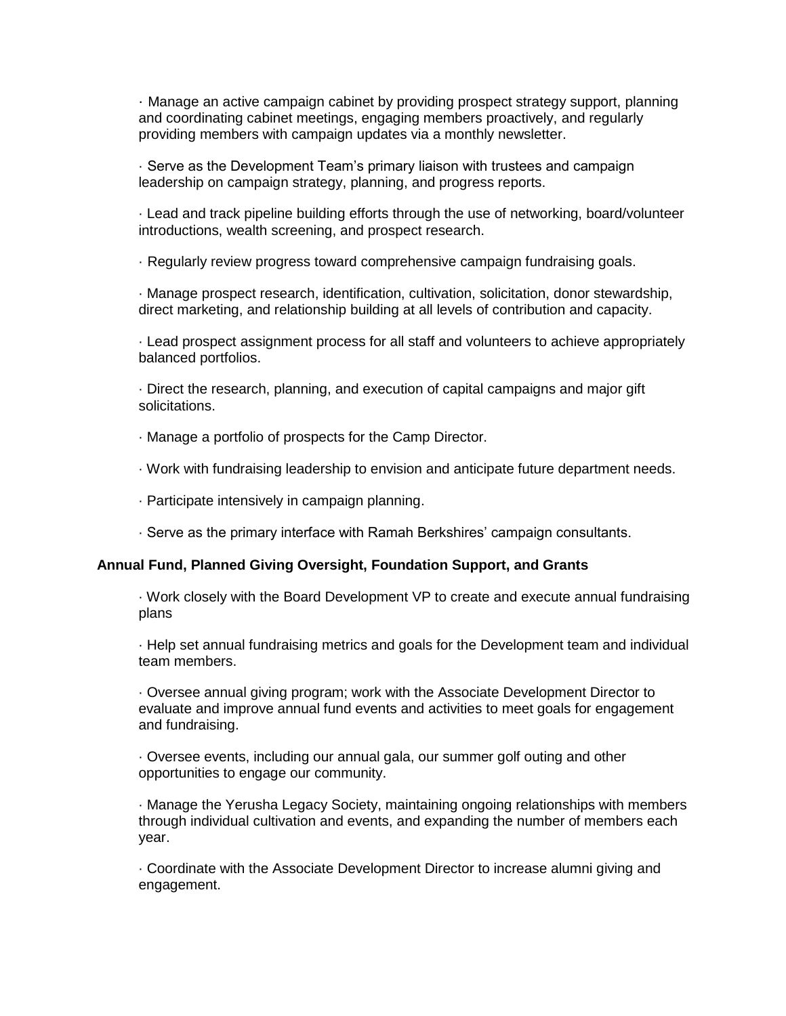· Manage an active campaign cabinet by providing prospect strategy support, planning and coordinating cabinet meetings, engaging members proactively, and regularly providing members with campaign updates via a monthly newsletter.

· Serve as the Development Team's primary liaison with trustees and campaign leadership on campaign strategy, planning, and progress reports.

· Lead and track pipeline building efforts through the use of networking, board/volunteer introductions, wealth screening, and prospect research.

· Regularly review progress toward comprehensive campaign fundraising goals.

· Manage prospect research, identification, cultivation, solicitation, donor stewardship, direct marketing, and relationship building at all levels of contribution and capacity.

· Lead prospect assignment process for all staff and volunteers to achieve appropriately balanced portfolios.

· Direct the research, planning, and execution of capital campaigns and major gift solicitations.

· Manage a portfolio of prospects for the Camp Director.

· Work with fundraising leadership to envision and anticipate future department needs.

· Participate intensively in campaign planning.

· Serve as the primary interface with Ramah Berkshires' campaign consultants.

# **Annual Fund, Planned Giving Oversight, Foundation Support, and Grants**

· Work closely with the Board Development VP to create and execute annual fundraising plans

· Help set annual fundraising metrics and goals for the Development team and individual team members.

· Oversee annual giving program; work with the Associate Development Director to evaluate and improve annual fund events and activities to meet goals for engagement and fundraising.

· Oversee events, including our annual gala, our summer golf outing and other opportunities to engage our community.

· Manage the Yerusha Legacy Society, maintaining ongoing relationships with members through individual cultivation and events, and expanding the number of members each year.

· Coordinate with the Associate Development Director to increase alumni giving and engagement.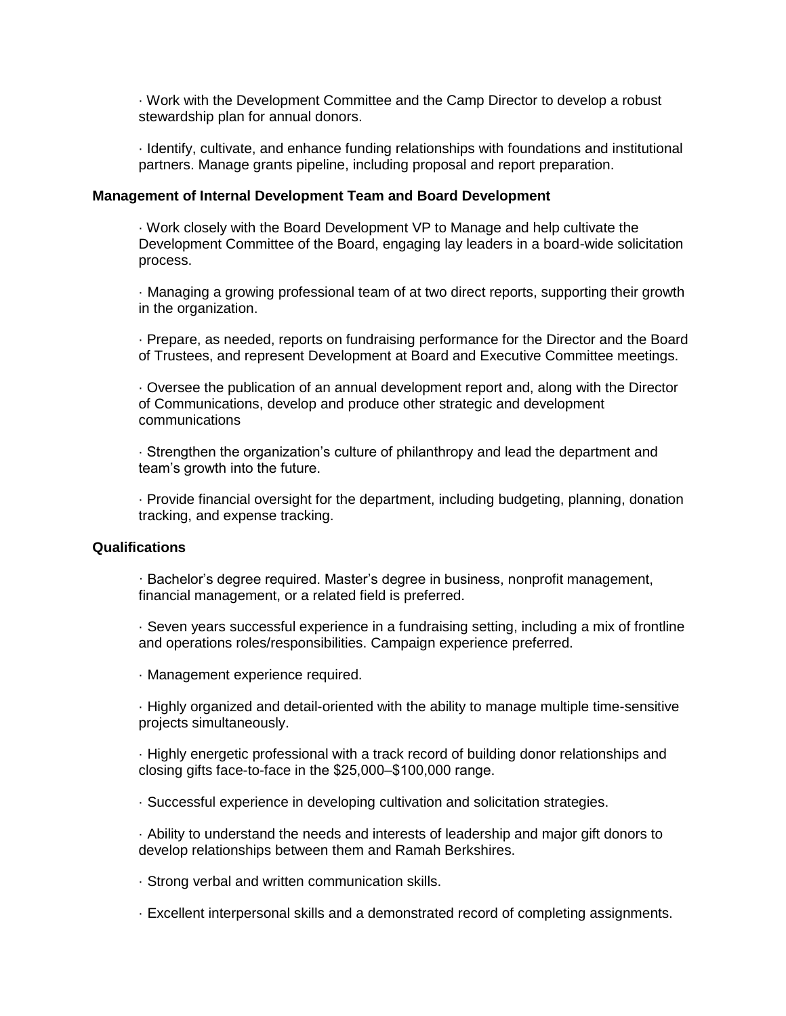· Work with the Development Committee and the Camp Director to develop a robust stewardship plan for annual donors.

· Identify, cultivate, and enhance funding relationships with foundations and institutional partners. Manage grants pipeline, including proposal and report preparation.

#### **Management of Internal Development Team and Board Development**

· Work closely with the Board Development VP to Manage and help cultivate the Development Committee of the Board, engaging lay leaders in a board-wide solicitation process.

· Managing a growing professional team of at two direct reports, supporting their growth in the organization.

· Prepare, as needed, reports on fundraising performance for the Director and the Board of Trustees, and represent Development at Board and Executive Committee meetings.

· Oversee the publication of an annual development report and, along with the Director of Communications, develop and produce other strategic and development communications

· Strengthen the organization's culture of philanthropy and lead the department and team's growth into the future.

· Provide financial oversight for the department, including budgeting, planning, donation tracking, and expense tracking.

### **Qualifications**

· Bachelor's degree required. Master's degree in business, nonprofit management, financial management, or a related field is preferred.

· Seven years successful experience in a fundraising setting, including a mix of frontline and operations roles/responsibilities. Campaign experience preferred.

· Management experience required.

· Highly organized and detail-oriented with the ability to manage multiple time-sensitive projects simultaneously.

· Highly energetic professional with a track record of building donor relationships and closing gifts face-to-face in the \$25,000‒\$100,000 range.

· Successful experience in developing cultivation and solicitation strategies.

· Ability to understand the needs and interests of leadership and major gift donors to develop relationships between them and Ramah Berkshires.

· Strong verbal and written communication skills.

· Excellent interpersonal skills and a demonstrated record of completing assignments.